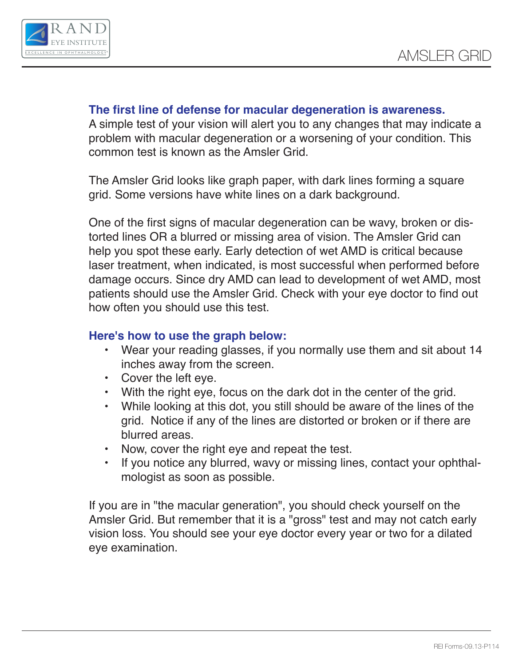

## **The first line of defense for macular degeneration is awareness.**

A simple test of your vision will alert you to any changes that may indicate a problem with macular degeneration or a worsening of your condition. This common test is known as the Amsler Grid.

The Amsler Grid looks like graph paper, with dark lines forming a square grid. Some versions have white lines on a dark background.

One of the first signs of macular degeneration can be wavy, broken or distorted lines OR a blurred or missing area of vision. The Amsler Grid can help you spot these early. Early detection of wet AMD is critical because laser treatment, when indicated, is most successful when performed before damage occurs. Since dry AMD can lead to development of wet AMD, most patients should use the Amsler Grid. Check with your eye doctor to find out how often you should use this test.

## **Here's how to use the graph below:**

- Wear your reading glasses, if you normally use them and sit about 14 inches away from the screen.
- Cover the left eye.
- With the right eye, focus on the dark dot in the center of the grid.
- While looking at this dot, you still should be aware of the lines of the grid. Notice if any of the lines are distorted or broken or if there are blurred areas.
- Now, cover the right eye and repeat the test.
- If you notice any blurred, wavy or missing lines, contact your ophthalmologist as soon as possible.

If you are in "the macular generation", you should check yourself on the Amsler Grid. But remember that it is a "gross" test and may not catch early vision loss. You should see your eye doctor every year or two for a dilated eye examination.